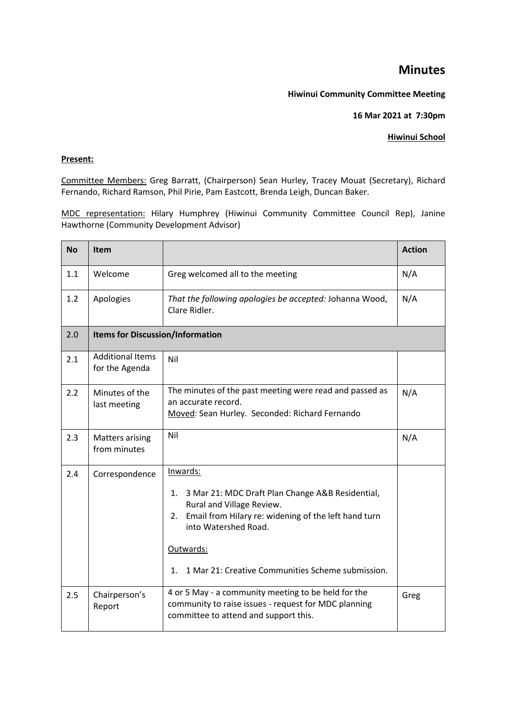## **Minutes**

## **Hiwinui Community Committee Meeting**

**16 Mar 2021 at 7:30pm** 

## **Hiwinui School**

## **Present:**

Committee Members: Greg Barratt, (Chairperson) Sean Hurley, Tracey Mouat (Secretary), Richard Fernando, Richard Ramson, Phil Pirie, Pam Eastcott, Brenda Leigh, Duncan Baker.

MDC representation: Hilary Humphrey (Hiwinui Community Committee Council Rep), Janine Hawthorne (Community Development Advisor)

| <b>No</b> | <b>Item</b>                               |                                                                                                                                                                                                                                                                    | <b>Action</b> |  |  |
|-----------|-------------------------------------------|--------------------------------------------------------------------------------------------------------------------------------------------------------------------------------------------------------------------------------------------------------------------|---------------|--|--|
| 1.1       | Welcome                                   | Greg welcomed all to the meeting                                                                                                                                                                                                                                   | N/A           |  |  |
| 1.2       | Apologies                                 | That the following apologies be accepted: Johanna Wood,<br>Clare Ridler.                                                                                                                                                                                           | N/A           |  |  |
| 2.0       |                                           | <b>Items for Discussion/Information</b>                                                                                                                                                                                                                            |               |  |  |
| 2.1       | <b>Additional Items</b><br>for the Agenda | Nil                                                                                                                                                                                                                                                                |               |  |  |
| 2.2       | Minutes of the<br>last meeting            | The minutes of the past meeting were read and passed as<br>an accurate record.<br>Moved: Sean Hurley. Seconded: Richard Fernando                                                                                                                                   | N/A           |  |  |
| 2.3       | <b>Matters arising</b><br>from minutes    | Nil                                                                                                                                                                                                                                                                | N/A           |  |  |
| 2.4       | Correspondence                            | Inwards:<br>3 Mar 21: MDC Draft Plan Change A&B Residential,<br>1.<br>Rural and Village Review.<br>Email from Hilary re: widening of the left hand turn<br>2.<br>into Watershed Road.<br>Outwards:<br>1 Mar 21: Creative Communities Scheme submission.<br>$1_{-}$ |               |  |  |
| 2.5       | Chairperson's<br>Report                   | 4 or 5 May - a community meeting to be held for the<br>community to raise issues - request for MDC planning<br>committee to attend and support this.                                                                                                               | Greg          |  |  |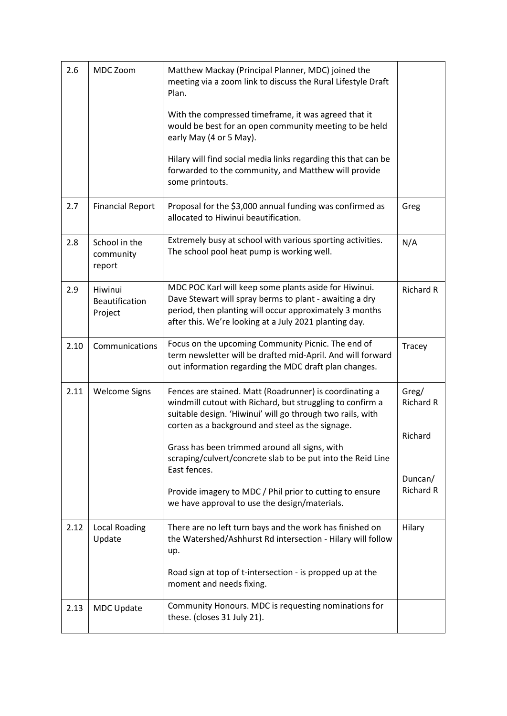| 2.6  | MDC Zoom                                    | Matthew Mackay (Principal Planner, MDC) joined the<br>meeting via a zoom link to discuss the Rural Lifestyle Draft<br>Plan.<br>With the compressed timeframe, it was agreed that it<br>would be best for an open community meeting to be held<br>early May (4 or 5 May).<br>Hilary will find social media links regarding this that can be<br>forwarded to the community, and Matthew will provide<br>some printouts.                                                               |                                                                     |
|------|---------------------------------------------|-------------------------------------------------------------------------------------------------------------------------------------------------------------------------------------------------------------------------------------------------------------------------------------------------------------------------------------------------------------------------------------------------------------------------------------------------------------------------------------|---------------------------------------------------------------------|
| 2.7  | <b>Financial Report</b>                     | Proposal for the \$3,000 annual funding was confirmed as<br>allocated to Hiwinui beautification.                                                                                                                                                                                                                                                                                                                                                                                    | Greg                                                                |
| 2.8  | School in the<br>community<br>report        | Extremely busy at school with various sporting activities.<br>The school pool heat pump is working well.                                                                                                                                                                                                                                                                                                                                                                            | N/A                                                                 |
| 2.9  | Hiwinui<br><b>Beautification</b><br>Project | MDC POC Karl will keep some plants aside for Hiwinui.<br>Dave Stewart will spray berms to plant - awaiting a dry<br>period, then planting will occur approximately 3 months<br>after this. We're looking at a July 2021 planting day.                                                                                                                                                                                                                                               | <b>Richard R</b>                                                    |
| 2.10 | Communications                              | Focus on the upcoming Community Picnic. The end of<br>term newsletter will be drafted mid-April. And will forward<br>out information regarding the MDC draft plan changes.                                                                                                                                                                                                                                                                                                          | Tracey                                                              |
| 2.11 | <b>Welcome Signs</b>                        | Fences are stained. Matt (Roadrunner) is coordinating a<br>windmill cutout with Richard, but struggling to confirm a<br>suitable design. 'Hiwinui' will go through two rails, with<br>corten as a background and steel as the signage.<br>Grass has been trimmed around all signs, with<br>scraping/culvert/concrete slab to be put into the Reid Line<br>East fences.<br>Provide imagery to MDC / Phil prior to cutting to ensure<br>we have approval to use the design/materials. | Greg/<br><b>Richard R</b><br>Richard<br>Duncan/<br><b>Richard R</b> |
| 2.12 | <b>Local Roading</b><br>Update              | There are no left turn bays and the work has finished on<br>the Watershed/Ashhurst Rd intersection - Hilary will follow<br>up.<br>Road sign at top of t-intersection - is propped up at the<br>moment and needs fixing.                                                                                                                                                                                                                                                             | Hilary                                                              |
| 2.13 | <b>MDC Update</b>                           | Community Honours. MDC is requesting nominations for<br>these. (closes 31 July 21).                                                                                                                                                                                                                                                                                                                                                                                                 |                                                                     |